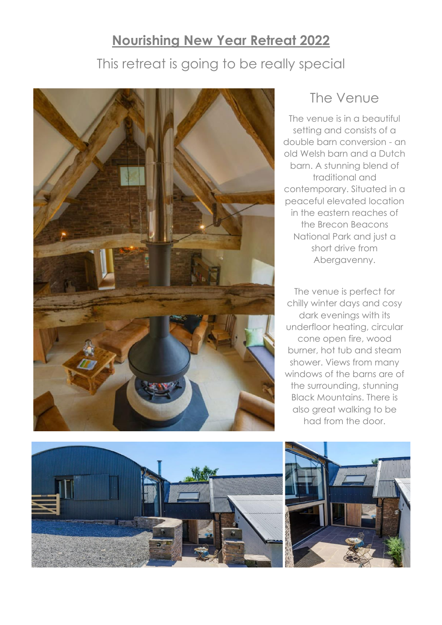### **Nourishing New Year Retreat 2022**

#### This retreat is going to be really special



#### The Venue

The venue is in a beautiful setting and consists of a double barn conversion - an old Welsh barn and a Dutch barn. A stunning blend of traditional and contemporary. Situated in a peaceful elevated location in the eastern reaches of the Brecon Beacons National Park and just a short drive from Abergavenny.

The venue is perfect for chilly winter days and cosy dark evenings with its underfloor heating, circular cone open fire, wood burner, hot tub and steam shower. Views from many windows of the barns are of the surrounding, stunning Black Mountains. There is also great walking to be had from the door.

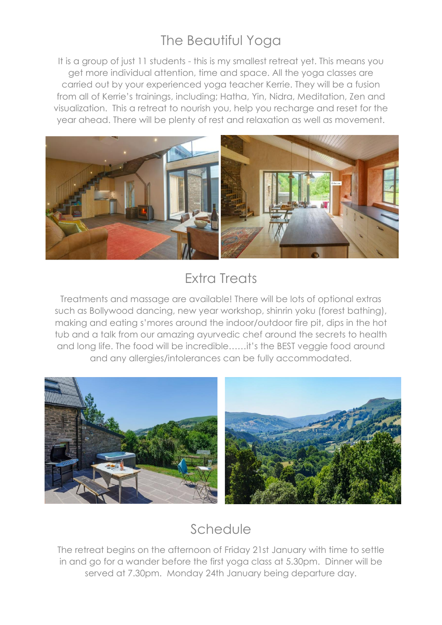## The Beautiful Yoga

It is a group of just 11 students - this is my smallest retreat yet. This means you get more individual attention, time and space. All the yoga classes are carried out by your experienced yoga teacher Kerrie. They will be a fusion from all of Kerrie's trainings, including; Hatha, Yin, Nidra, Meditation, Zen and visualization. This a retreat to nourish you, help you recharge and reset for the year ahead. There will be plenty of rest and relaxation as well as movement.



# Extra Treats

Treatments and massage are available! There will be lots of optional extras such as Bollywood dancing, new year workshop, shinrin yoku (forest bathing), making and eating s'mores around the indoor/outdoor fire pit, dips in the hot tub and a talk from our amazing ayurvedic chef around the secrets to health and long life. The food will be incredible……it's the BEST veggie food around and any allergies/intolerances can be fully accommodated.



# Schedule

The retreat begins on the afternoon of Friday 21st January with time to settle in and go for a wander before the first yoga class at 5.30pm. Dinner will be served at 7.30pm. Monday 24th January being departure day.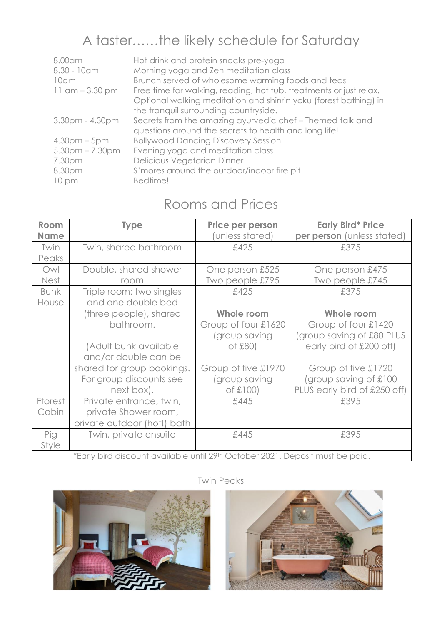# A taster……the likely schedule for Saturday

| 8.00am<br>$8.30 - 10$ am<br>10am<br>$11$ am $-3.30$ pm | Hot drink and protein snacks pre-yoga<br>Morning yoga and Zen meditation class<br>Brunch served of wholesome warming foods and teas<br>Free time for walking, reading, hot tub, treatments or just relax.<br>Optional walking meditation and shinrin yoku (forest bathing) in<br>the tranquil surrounding countryside. |
|--------------------------------------------------------|------------------------------------------------------------------------------------------------------------------------------------------------------------------------------------------------------------------------------------------------------------------------------------------------------------------------|
| 3.30pm - 4.30pm                                        | Secrets from the amazing ayurvedic chef - Themed talk and<br>questions around the secrets to health and long life!                                                                                                                                                                                                     |
| $4.30pm - 5pm$                                         | <b>Bollywood Dancing Discovery Session</b>                                                                                                                                                                                                                                                                             |
| $5.30$ pm $- 7.30$ pm                                  | Evening yoga and meditation class                                                                                                                                                                                                                                                                                      |
| 7.30pm                                                 | Delicious Vegetarian Dinner                                                                                                                                                                                                                                                                                            |
| 8.30pm                                                 | S' mores around the outdoor/indoor fire pit                                                                                                                                                                                                                                                                            |
| 10 <sub>pm</sub>                                       | Bedtime!                                                                                                                                                                                                                                                                                                               |

## Rooms and Prices

| Room                                                                          | <b>Type</b>                 | Price per person    | <b>Early Bird* Price</b>     |  |
|-------------------------------------------------------------------------------|-----------------------------|---------------------|------------------------------|--|
| <b>Name</b>                                                                   |                             | (unless stated)     | per person (unless stated)   |  |
| Twin                                                                          | Twin, shared bathroom       | £425                | £375                         |  |
| Peaks                                                                         |                             |                     |                              |  |
| Owl                                                                           | Double, shared shower       | One person £525     | One person £475              |  |
| <b>Nest</b>                                                                   | room                        | Two people £795     | Two people £745              |  |
| <b>Bunk</b>                                                                   | Triple room: two singles    | £425                | £375                         |  |
| House                                                                         | and one double bed          |                     |                              |  |
|                                                                               | (three people), shared      | Whole room          | Whole room                   |  |
|                                                                               | bathroom.                   | Group of four £1620 | Group of four £1420          |  |
|                                                                               |                             | (group saving       | (group saving of £80 PLUS    |  |
|                                                                               | (Adult bunk available       | of £80              | early bird of £200 off)      |  |
|                                                                               | and/or double can be        |                     |                              |  |
|                                                                               | shared for group bookings.  | Group of five £1970 | Group of five £1720          |  |
|                                                                               | For group discounts see     | (group saving       | (group saving of £100)       |  |
|                                                                               | next box).                  | of £100             | PLUS early bird of £250 off) |  |
| Fforest                                                                       | Private entrance, twin,     | £445                | £395                         |  |
| Cabin                                                                         | private Shower room,        |                     |                              |  |
|                                                                               | private outdoor (hot!) bath |                     |                              |  |
| Pig                                                                           | Twin, private ensuite       | £445                | £395                         |  |
| Style                                                                         |                             |                     |                              |  |
| *Early bird discount available until 29th October 2021. Deposit must be paid. |                             |                     |                              |  |